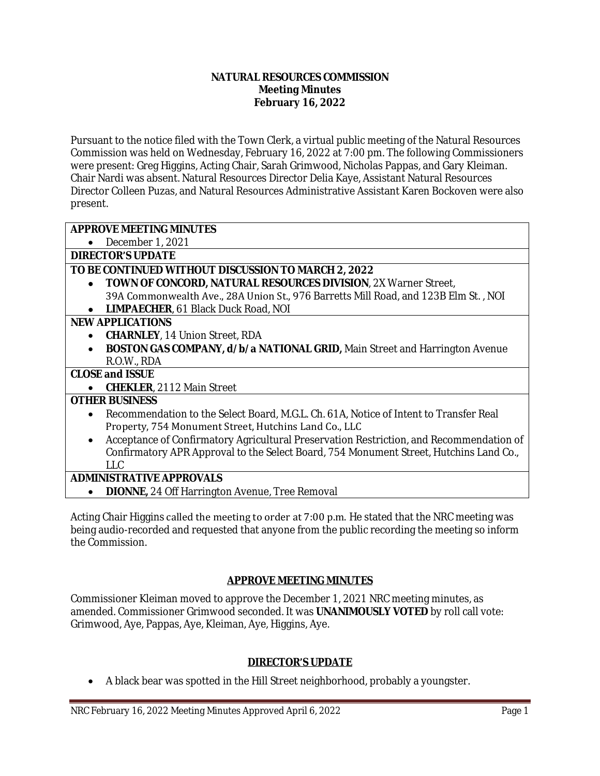### **NATURAL RESOURCES COMMISSION Meeting Minutes February 16, 2022**

Pursuant to the notice filed with the Town Clerk, a virtual public meeting of the Natural Resources Commission was held on Wednesday, February 16, 2022 at 7:00 pm. The following Commissioners were present: Greg Higgins, Acting Chair, Sarah Grimwood, Nicholas Pappas, and Gary Kleiman. Chair Nardi was absent. Natural Resources Director Delia Kaye, Assistant Natural Resources Director Colleen Puzas, and Natural Resources Administrative Assistant Karen Bockoven were also present.

## **APPROVE MEETING MINUTES**

December 1, 2021

**DIRECTOR'S UPDATE**

## **TO BE CONTINUED WITHOUT DISCUSSION TO MARCH 2, 2022**

 **TOWN OF CONCORD, NATURAL RESOURCES DIVISION**, 2X Warner Street, 39A Commonwealth Ave., 28A Union St., 976 Barretts Mill Road, and 123B Elm St. , NOI **LIMPAECHER**, 61 Black Duck Road, NOI

### **NEW APPLICATIONS**

- **CHARNLEY**, 14 Union Street, RDA
- **BOSTON GAS COMPANY, d/b/a NATIONAL GRID,** Main Street and Harrington Avenue R.O.W., RDA

## **CLOSE and ISSUE**

**CHEKLER**, 2112 Main Street

## **OTHER BUSINESS**

- Recommendation to the Select Board, M.G.L. Ch. 61A, Notice of Intent to Transfer Real Property, 754 Monument Street, Hutchins Land Co., LLC
- Acceptance of Confirmatory Agricultural Preservation Restriction, and Recommendation of Confirmatory APR Approval to the Select Board, 754 Monument Street, Hutchins Land Co., LLC

## **ADMINISTRATIVE APPROVALS**

**DIONNE,** 24 Off Harrington Avenue, Tree Removal

Acting Chair Higgins called the meeting to order at 7:00 p.m. He stated that the NRC meeting was being audio-recorded and requested that anyone from the public recording the meeting so inform the Commission.

## **APPROVE MEETING MINUTES**

Commissioner Kleiman moved to approve the December 1, 2021 NRC meeting minutes, as amended. Commissioner Grimwood seconded. It was **UNANIMOUSLY VOTED** by roll call vote: Grimwood, Aye, Pappas, Aye, Kleiman, Aye, Higgins, Aye.

## **DIRECTOR'S UPDATE**

A black bear was spotted in the Hill Street neighborhood, probably a youngster.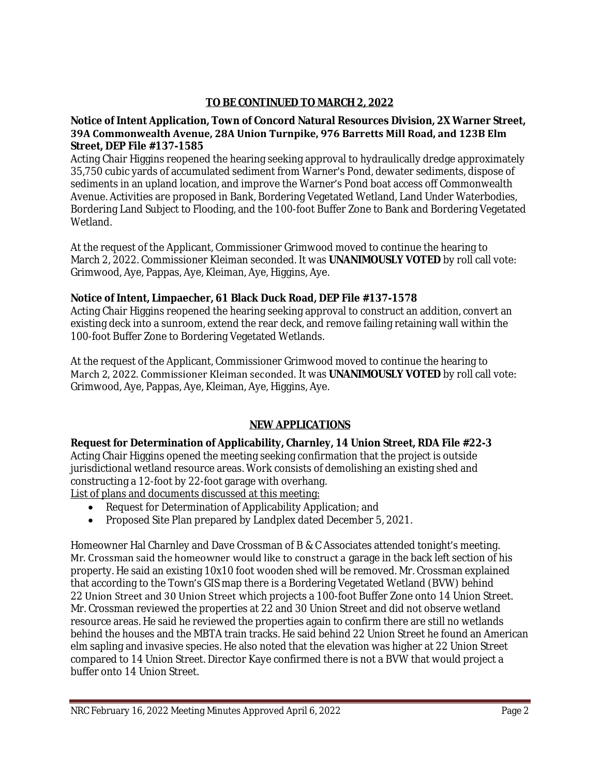# **TO BE CONTINUED TO MARCH 2, 2022**

### **Notice of Intent Application, Town of Concord Natural Resources Division, 2X Warner Street, 39A Commonwealth Avenue, 28A Union Turnpike, 976 Barretts Mill Road, and 123B Elm Street, DEP File #137-1585**

Acting Chair Higgins reopened the hearing seeking approval to hydraulically dredge approximately 35,750 cubic yards of accumulated sediment from Warner's Pond, dewater sediments, dispose of sediments in an upland location, and improve the Warner's Pond boat access off Commonwealth Avenue. Activities are proposed in Bank, Bordering Vegetated Wetland, Land Under Waterbodies, Bordering Land Subject to Flooding, and the 100-foot Buffer Zone to Bank and Bordering Vegetated Wetland.

At the request of the Applicant, Commissioner Grimwood moved to continue the hearing to March 2, 2022. Commissioner Kleiman seconded. It was **UNANIMOUSLY VOTED** by roll call vote: Grimwood, Aye, Pappas, Aye, Kleiman, Aye, Higgins, Aye.

## **Notice of Intent, Limpaecher, 61 Black Duck Road, DEP File #137-1578**

Acting Chair Higgins reopened the hearing seeking approval to construct an addition, convert an existing deck into a sunroom, extend the rear deck, and remove failing retaining wall within the 100-foot Buffer Zone to Bordering Vegetated Wetlands.

At the request of the Applicant, Commissioner Grimwood moved to continue the hearing to March 2, 2022. Commissioner Kleiman seconded. It was **UNANIMOUSLY VOTED** by roll call vote: Grimwood, Aye, Pappas, Aye, Kleiman, Aye, Higgins, Aye.

# **NEW APPLICATIONS**

## **Request for Determination of Applicability, Charnley, 14 Union Street, RDA File #22-3**

Acting Chair Higgins opened the meeting seeking confirmation that the project is outside jurisdictional wetland resource areas. Work consists of demolishing an existing shed and constructing a 12-foot by 22-foot garage with overhang.

List of plans and documents discussed at this meeting:

- Request for Determination of Applicability Application; and
- Proposed Site Plan prepared by Landplex dated December 5, 2021.

Homeowner Hal Charnley and Dave Crossman of B & C Associates attended tonight's meeting. Mr. Crossman said the homeowner would like to construct a garage in the back left section of his property. He said an existing 10x10 foot wooden shed will be removed. Mr. Crossman explained that according to the Town's GIS map there is a Bordering Vegetated Wetland (BVW) behind 22 Union Street and 30 Union Street which projects a 100-foot Buffer Zone onto 14 Union Street. Mr. Crossman reviewed the properties at 22 and 30 Union Street and did not observe wetland resource areas. He said he reviewed the properties again to confirm there are still no wetlands behind the houses and the MBTA train tracks. He said behind 22 Union Street he found an American elm sapling and invasive species. He also noted that the elevation was higher at 22 Union Street compared to 14 Union Street. Director Kaye confirmed there is not a BVW that would project a buffer onto 14 Union Street.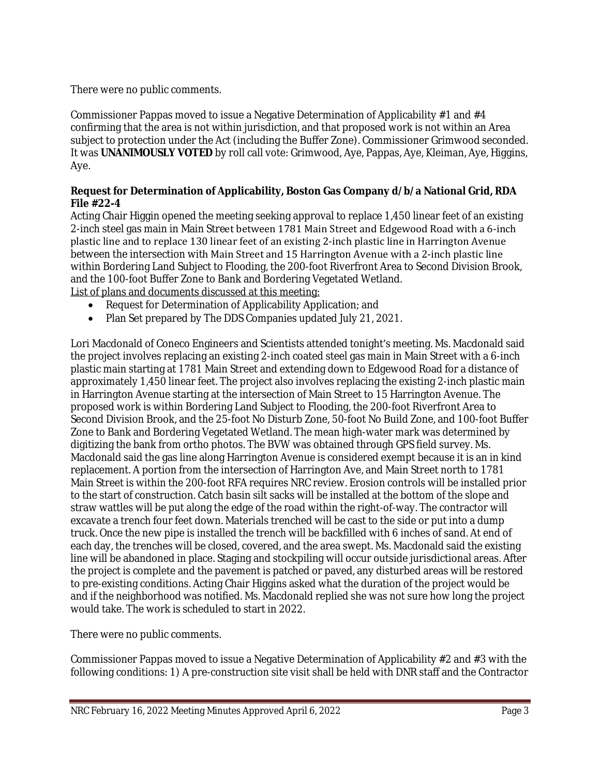There were no public comments.

Commissioner Pappas moved to issue a Negative Determination of Applicability  $\#1$  and  $\#4$ confirming that the area is not within jurisdiction, and that proposed work is not within an Area subject to protection under the Act (including the Buffer Zone). Commissioner Grimwood seconded. It was **UNANIMOUSLY VOTED** by roll call vote: Grimwood, Aye, Pappas, Aye, Kleiman, Aye, Higgins, Aye.

## **Request for Determination of Applicability, Boston Gas Company d/b/a National Grid, RDA File #22-4**

Acting Chair Higgin opened the meeting seeking approval to replace 1,450 linear feet of an existing 2-inch steel gas main in Main Street between 1781 Main Street and Edgewood Road with a 6-inch plastic line and to replace 130 linear feet of an existing 2-inch plastic line in Harrington Avenue between the intersection with Main Street and 15 Harrington Avenue with a 2-inch plastic line within Bordering Land Subject to Flooding, the 200-foot Riverfront Area to Second Division Brook, and the 100-foot Buffer Zone to Bank and Bordering Vegetated Wetland. List of plans and documents discussed at this meeting:

- Request for Determination of Applicability Application; and
- Plan Set prepared by The DDS Companies updated July 21, 2021.

Lori Macdonald of Coneco Engineers and Scientists attended tonight's meeting. Ms. Macdonald said the project involves replacing an existing 2-inch coated steel gas main in Main Street with a 6-inch plastic main starting at 1781 Main Street and extending down to Edgewood Road for a distance of approximately 1,450 linear feet. The project also involves replacing the existing 2-inch plastic main in Harrington Avenue starting at the intersection of Main Street to 15 Harrington Avenue. The proposed work is within Bordering Land Subject to Flooding, the 200-foot Riverfront Area to Second Division Brook, and the 25-foot No Disturb Zone, 50-foot No Build Zone, and 100-foot Buffer Zone to Bank and Bordering Vegetated Wetland. The mean high-water mark was determined by digitizing the bank from ortho photos. The BVW was obtained through GPS field survey. Ms. Macdonald said the gas line along Harrington Avenue is considered exempt because it is an in kind replacement. A portion from the intersection of Harrington Ave, and Main Street north to 1781 Main Street is within the 200-foot RFA requires NRC review. Erosion controls will be installed prior to the start of construction. Catch basin silt sacks will be installed at the bottom of the slope and straw wattles will be put along the edge of the road within the right-of-way. The contractor will excavate a trench four feet down. Materials trenched will be cast to the side or put into a dump truck. Once the new pipe is installed the trench will be backfilled with 6 inches of sand. At end of each day, the trenches will be closed, covered, and the area swept. Ms. Macdonald said the existing line will be abandoned in place. Staging and stockpiling will occur outside jurisdictional areas. After the project is complete and the pavement is patched or paved, any disturbed areas will be restored to pre-existing conditions. Acting Chair Higgins asked what the duration of the project would be and if the neighborhood was notified. Ms. Macdonald replied she was not sure how long the project would take. The work is scheduled to start in 2022.

There were no public comments.

Commissioner Pappas moved to issue a Negative Determination of Applicability #2 and #3 with the following conditions: 1) A pre-construction site visit shall be held with DNR staff and the Contractor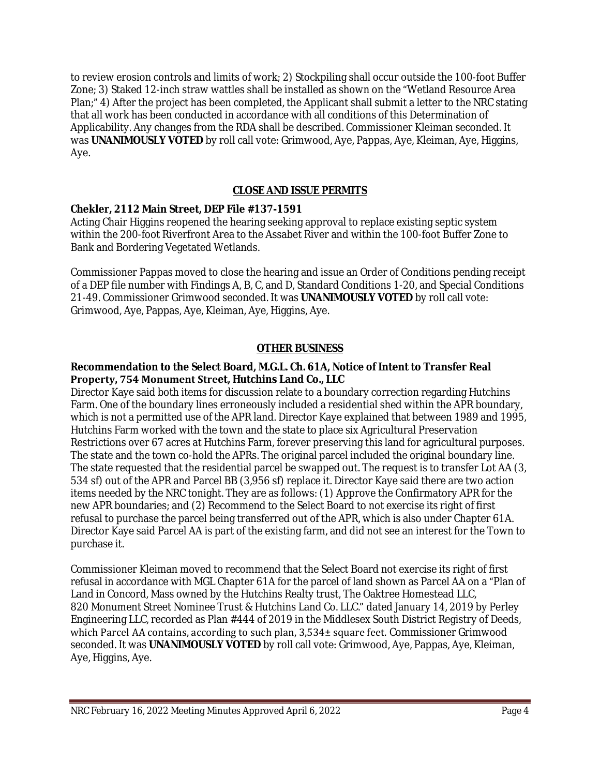to review erosion controls and limits of work; 2) Stockpiling shall occur outside the 100-foot Buffer Zone; 3) Staked 12-inch straw wattles shall be installed as shown on the "Wetland Resource Area Plan;" 4) After the project has been completed, the Applicant shall submit a letter to the NRC stating that all work has been conducted in accordance with all conditions of this Determination of Applicability. Any changes from the RDA shall be described. Commissioner Kleiman seconded. It was **UNANIMOUSLY VOTED** by roll call vote: Grimwood, Aye, Pappas, Aye, Kleiman, Aye, Higgins, Aye.

## **CLOSE AND ISSUE PERMITS**

### **Chekler, 2112 Main Street, DEP File #137-1591**

Acting Chair Higgins reopened the hearing seeking approval to replace existing septic system within the 200-foot Riverfront Area to the Assabet River and within the 100-foot Buffer Zone to Bank and Bordering Vegetated Wetlands.

Commissioner Pappas moved to close the hearing and issue an Order of Conditions pending receipt of a DEP file number with Findings A, B, C, and D, Standard Conditions 1-20, and Special Conditions 21-49. Commissioner Grimwood seconded. It was **UNANIMOUSLY VOTED** by roll call vote: Grimwood, Aye, Pappas, Aye, Kleiman, Aye, Higgins, Aye.

### **OTHER BUSINESS**

### **Recommendation to the Select Board, M.G.L. Ch. 61A, Notice of Intent to Transfer Real Property, 754 Monument Street, Hutchins Land Co., LLC**

Director Kaye said both items for discussion relate to a boundary correction regarding Hutchins Farm. One of the boundary lines erroneously included a residential shed within the APR boundary, which is not a permitted use of the APR land. Director Kaye explained that between 1989 and 1995, Hutchins Farm worked with the town and the state to place six Agricultural Preservation Restrictions over 67 acres at Hutchins Farm, forever preserving this land for agricultural purposes. The state and the town co-hold the APRs. The original parcel included the original boundary line. The state requested that the residential parcel be swapped out. The request is to transfer Lot AA (3, 534 sf) out of the APR and Parcel BB (3,956 sf) replace it. Director Kaye said there are two action items needed by the NRC tonight. They are as follows: (1) Approve the Confirmatory APR for the new APR boundaries; and (2) Recommend to the Select Board to not exercise its right of first refusal to purchase the parcel being transferred out of the APR, which is also under Chapter 61A. Director Kaye said Parcel AA is part of the existing farm, and did not see an interest for the Town to purchase it.

Commissioner Kleiman moved to recommend that the Select Board not exercise its right of first refusal in accordance with MGL Chapter 61A for the parcel of land shown as Parcel AA on a "Plan of Land in Concord, Mass owned by the Hutchins Realty trust, The Oaktree Homestead LLC, 820 Monument Street Nominee Trust & Hutchins Land Co. LLC." dated January 14, 2019 by Perley Engineering LLC, recorded as Plan #444 of 2019 in the Middlesex South District Registry of Deeds, which Parcel AA contains, according to such plan, 3,534± square feet. Commissioner Grimwood seconded. It was **UNANIMOUSLY VOTED** by roll call vote: Grimwood, Aye, Pappas, Aye, Kleiman, Aye, Higgins, Aye.